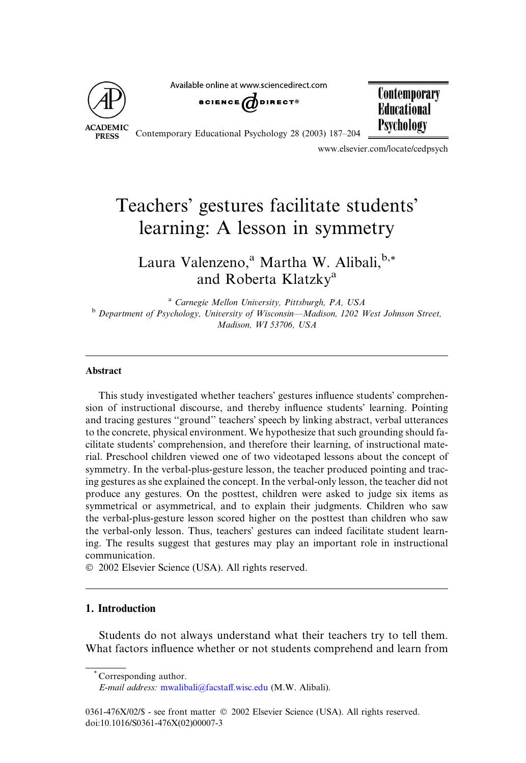Available online at www.sciencedirect.com





**Contemporary Educational** Psychology

**PRESS** 

Contemporary Educational Psychology 28 (2003) 187–204

www.elsevier.com/locate/cedpsych

# Teachers' gestures facilitate students' learning: A lesson in symmetry

Laura Valenzeno,<sup>a</sup> Martha W. Alibali,  $b^*$ and Roberta Klatzky<sup>a</sup>

<sup>a</sup> Carnegie Mellon University, Pittsburgh, PA, USA <sup>b</sup> Department of Psychology, University of Wisconsin—Madison, 1202 West Johnson Street, Madison, WI 53706, USA

#### Abstract

This study investigated whether teachers' gestures influence students' comprehension of instructional discourse, and thereby influence students' learning. Pointing and tracing gestures "ground" teachers' speech by linking abstract, verbal utterances to the concrete, physical environment. We hypothesize that such grounding should facilitate students' comprehension, and therefore their learning, of instructional material. Preschool children viewed one of two videotaped lessons about the concept of symmetry. In the verbal-plus-gesture lesson, the teacher produced pointing and tracing gestures as she explained the concept. In the verbal-only lesson, the teacher did not produce any gestures. On the posttest, children were asked to judge six items as symmetrical or asymmetrical, and to explain their judgments. Children who saw the verbal-plus-gesture lesson scored higher on the posttest than children who saw the verbal-only lesson. Thus, teachers' gestures can indeed facilitate student learning. The results suggest that gestures may play an important role in instructional communication.

 $© 2002 Elsevier Science (USA)$ . All rights reserved.

## 1. Introduction

Students do not always understand what their teachers try to tell them. What factors influence whether or not students comprehend and learn from

<sup>\*</sup> Corresponding author.

E-mail address: [mwalibali@facstaff.wisc.edu](mail to: mwalibali@facstaff.wisc.edu) (M.W. Alibali).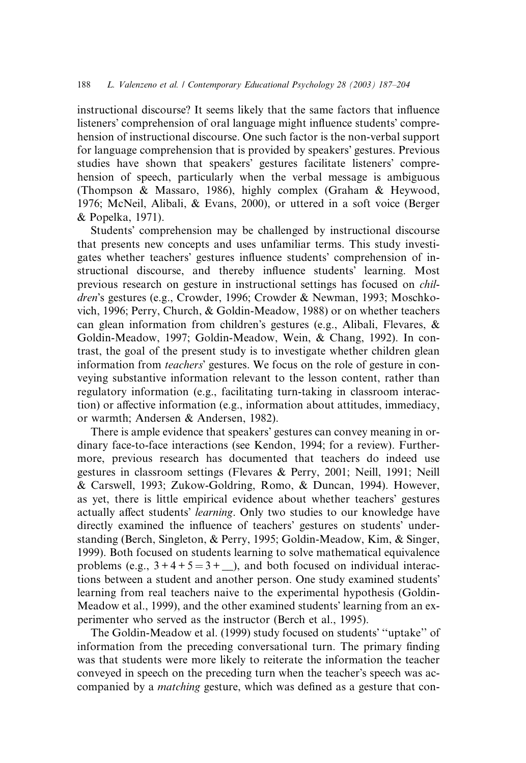instructional discourse? It seems likely that the same factors that influence listeners' comprehension of oral language might influence students' comprehension of instructional discourse. One such factor is the non-verbal support for language comprehension that is provided by speakers' gestures. Previous studies have shown that speakers' gestures facilitate listeners' comprehension of speech, particularly when the verbal message is ambiguous (Thompson & Massaro, 1986), highly complex (Graham & Heywood, 1976; McNeil, Alibali, & Evans, 2000), or uttered in a soft voice (Berger & Popelka, 1971).

Students' comprehension may be challenged by instructional discourse that presents new concepts and uses unfamiliar terms. This study investigates whether teachers' gestures influence students' comprehension of instructional discourse, and thereby influence students' learning. Most previous research on gesture in instructional settings has focused on children's gestures (e.g., Crowder, 1996; Crowder & Newman, 1993; Moschkovich, 1996; Perry, Church, & Goldin-Meadow, 1988) or on whether teachers can glean information from children's gestures (e.g., Alibali, Flevares,  $\&$ Goldin-Meadow, 1997; Goldin-Meadow, Wein, & Chang, 1992). In contrast, the goal of the present study is to investigate whether children glean information from *teachers*' gestures. We focus on the role of gesture in conveying substantive information relevant to the lesson content, rather than regulatory information (e.g., facilitating turn-taking in classroom interaction) or affective information (e.g., information about attitudes, immediacy, or warmth; Andersen & Andersen, 1982).

There is ample evidence that speakers' gestures can convey meaning in ordinary face-to-face interactions (see Kendon, 1994; for a review). Furthermore, previous research has documented that teachers do indeed use gestures in classroom settings (Flevares & Perry, 2001; Neill, 1991; Neill & Carswell, 1993; Zukow-Goldring, Romo, & Duncan, 1994). However, as yet, there is little empirical evidence about whether teachers' gestures actually affect students' learning. Only two studies to our knowledge have directly examined the influence of teachers' gestures on students' understanding (Berch, Singleton, & Perry, 1995; Goldin-Meadow, Kim, & Singer, 1999). Both focused on students learning to solve mathematical equivalence problems (e.g.,  $3+4+5=3+$ ), and both focused on individual interactions between a student and another person. One study examined students learning from real teachers naive to the experimental hypothesis (Goldin-Meadow et al., 1999), and the other examined students' learning from an experimenter who served as the instructor (Berch et al., 1995).

The Goldin-Meadow et al. (1999) study focused on students ''uptake'' of information from the preceding conversational turn. The primary finding was that students were more likely to reiterate the information the teacher conveyed in speech on the preceding turn when the teacher's speech was accompanied by a *matching* gesture, which was defined as a gesture that con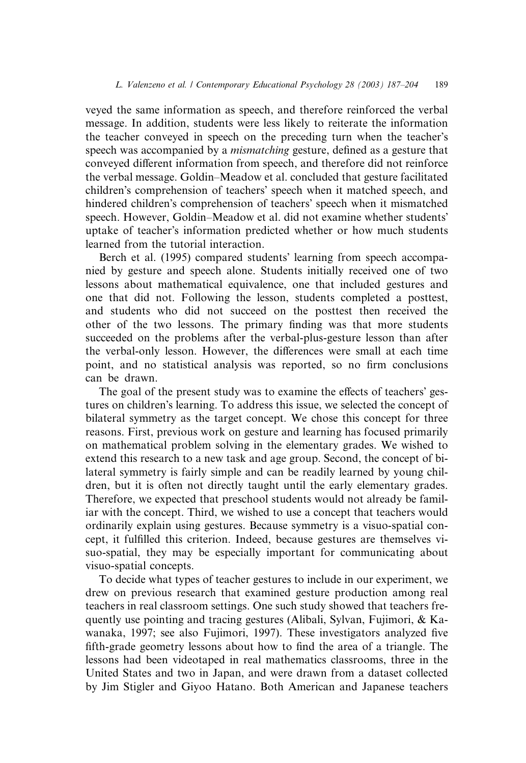veyed the same information as speech, and therefore reinforced the verbal message. In addition, students were less likely to reiterate the information the teacher conveyed in speech on the preceding turn when the teacher's speech was accompanied by a *mismatching* gesture, defined as a gesture that conveyed different information from speech, and therefore did not reinforce the verbal message. Goldin–Meadow et al. concluded that gesture facilitated children's comprehension of teachers' speech when it matched speech, and hindered children's comprehension of teachers' speech when it mismatched speech. However, Goldin–Meadow et al. did not examine whether students uptake of teacher's information predicted whether or how much students learned from the tutorial interaction.

Berch et al. (1995) compared students' learning from speech accompanied by gesture and speech alone. Students initially received one of two lessons about mathematical equivalence, one that included gestures and one that did not. Following the lesson, students completed a posttest, and students who did not succeed on the posttest then received the other of the two lessons. The primary finding was that more students succeeded on the problems after the verbal-plus-gesture lesson than after the verbal-only lesson. However, the differences were small at each time point, and no statistical analysis was reported, so no firm conclusions can be drawn.

The goal of the present study was to examine the effects of teachers' gestures on children's learning. To address this issue, we selected the concept of bilateral symmetry as the target concept. We chose this concept for three reasons. First, previous work on gesture and learning has focused primarily on mathematical problem solving in the elementary grades. We wished to extend this research to a new taskand age group. Second, the concept of bilateral symmetry is fairly simple and can be readily learned by young children, but it is often not directly taught until the early elementary grades. Therefore, we expected that preschool students would not already be familiar with the concept. Third, we wished to use a concept that teachers would ordinarily explain using gestures. Because symmetry is a visuo-spatial concept, it fulfilled this criterion. Indeed, because gestures are themselves visuo-spatial, they may be especially important for communicating about visuo-spatial concepts.

To decide what types of teacher gestures to include in our experiment, we drew on previous research that examined gesture production among real teachers in real classroom settings. One such study showed that teachers frequently use pointing and tracing gestures (Alibali, Sylvan, Fujimori, & Kawanaka, 1997; see also Fujimori, 1997). These investigators analyzed five fifth-grade geometry lessons about how to find the area of a triangle. The lessons had been videotaped in real mathematics classrooms, three in the United States and two in Japan, and were drawn from a dataset collected by Jim Stigler and Giyoo Hatano. Both American and Japanese teachers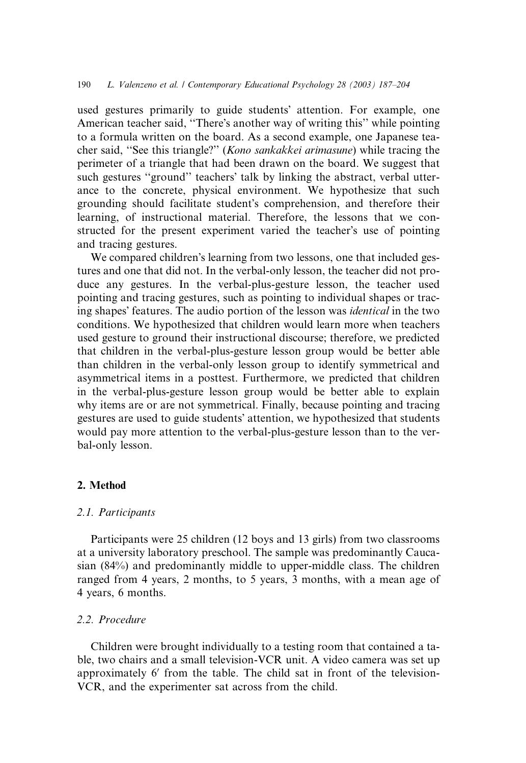used gestures primarily to guide students' attention. For example, one American teacher said, "There's another way of writing this" while pointing to a formula written on the board. As a second example, one Japanese teacher said, "See this triangle?" (*Kono sankakkei arimasune*) while tracing the perimeter of a triangle that had been drawn on the board. We suggest that such gestures "ground" teachers' talk by linking the abstract, verbal utterance to the concrete, physical environment. We hypothesize that such grounding should facilitate student's comprehension, and therefore their learning, of instructional material. Therefore, the lessons that we constructed for the present experiment varied the teacher's use of pointing and tracing gestures.

We compared children's learning from two lessons, one that included gestures and one that did not. In the verbal-only lesson, the teacher did not produce any gestures. In the verbal-plus-gesture lesson, the teacher used pointing and tracing gestures, such as pointing to individual shapes or tracing shapes' features. The audio portion of the lesson was *identical* in the two conditions. We hypothesized that children would learn more when teachers used gesture to ground their instructional discourse; therefore, we predicted that children in the verbal-plus-gesture lesson group would be better able than children in the verbal-only lesson group to identify symmetrical and asymmetrical items in a posttest. Furthermore, we predicted that children in the verbal-plus-gesture lesson group would be better able to explain why items are or are not symmetrical. Finally, because pointing and tracing gestures are used to guide students' attention, we hypothesized that students would pay more attention to the verbal-plus-gesture lesson than to the verbal-only lesson.

# 2. Method

## 2.1. Participants

Participants were 25 children (12 boys and 13 girls) from two classrooms at a university laboratory preschool. The sample was predominantly Caucasian (84%) and predominantly middle to upper-middle class. The children ranged from 4 years, 2 months, to 5 years, 3 months, with a mean age of 4 years, 6 months.

# 2.2. Procedure

Children were brought individually to a testing room that contained a table, two chairs and a small television-VCR unit. A video camera was set up approximately  $6'$  from the table. The child sat in front of the television-VCR, and the experimenter sat across from the child.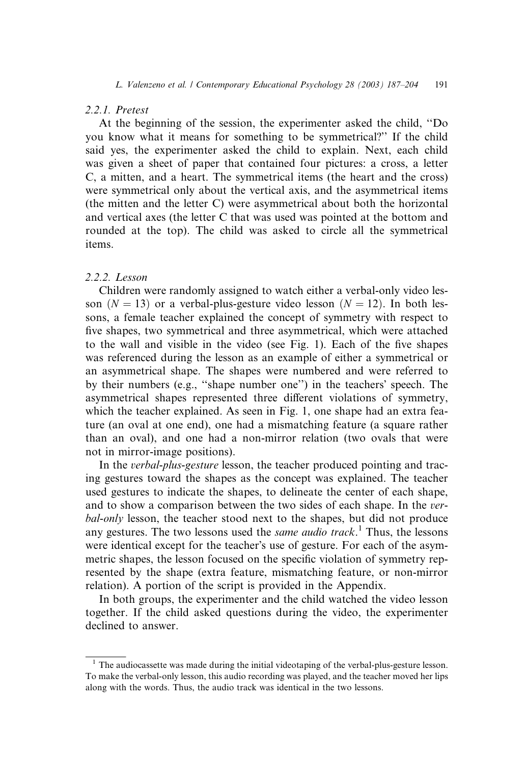#### 2.2.1. Pretest

At the beginning of the session, the experimenter asked the child, ''Do you know what it means for something to be symmetrical?'' If the child said yes, the experimenter asked the child to explain. Next, each child was given a sheet of paper that contained four pictures: a cross, a letter C, a mitten, and a heart. The symmetrical items (the heart and the cross) were symmetrical only about the vertical axis, and the asymmetrical items (the mitten and the letter C) were asymmetrical about both the horizontal and vertical axes (the letter C that was used was pointed at the bottom and rounded at the top). The child was asked to circle all the symmetrical items.

#### 2.2.2. Lesson

Children were randomly assigned to watch either a verbal-only video lesson  $(N = 13)$  or a verbal-plus-gesture video lesson  $(N = 12)$ . In both lessons, a female teacher explained the concept of symmetry with respect to five shapes, two symmetrical and three asymmetrical, which were attached to the wall and visible in the video (see Fig. 1). Each of the five shapes was referenced during the lesson as an example of either a symmetrical or an asymmetrical shape. The shapes were numbered and were referred to by their numbers (e.g., "shape number one") in the teachers' speech. The asymmetrical shapes represented three different violations of symmetry, which the teacher explained. As seen in Fig. 1, one shape had an extra feature (an oval at one end), one had a mismatching feature (a square rather than an oval), and one had a non-mirror relation (two ovals that were not in mirror-image positions).

In the *verbal-plus-gesture* lesson, the teacher produced pointing and tracing gestures toward the shapes as the concept was explained. The teacher used gestures to indicate the shapes, to delineate the center of each shape, and to show a comparison between the two sides of each shape. In the verbal-only lesson, the teacher stood next to the shapes, but did not produce any gestures. The two lessons used the *same audio track*.<sup>1</sup> Thus, the lessons were identical except for the teacher's use of gesture. For each of the asymmetric shapes, the lesson focused on the specific violation of symmetry represented by the shape (extra feature, mismatching feature, or non-mirror relation). A portion of the script is provided in the Appendix.

In both groups, the experimenter and the child watched the video lesson together. If the child asked questions during the video, the experimenter declined to answer.

<sup>&</sup>lt;sup>1</sup> The audiocassette was made during the initial videotaping of the verbal-plus-gesture lesson. To make the verbal-only lesson, this audio recording was played, and the teacher moved her lips along with the words. Thus, the audio track was identical in the two lessons.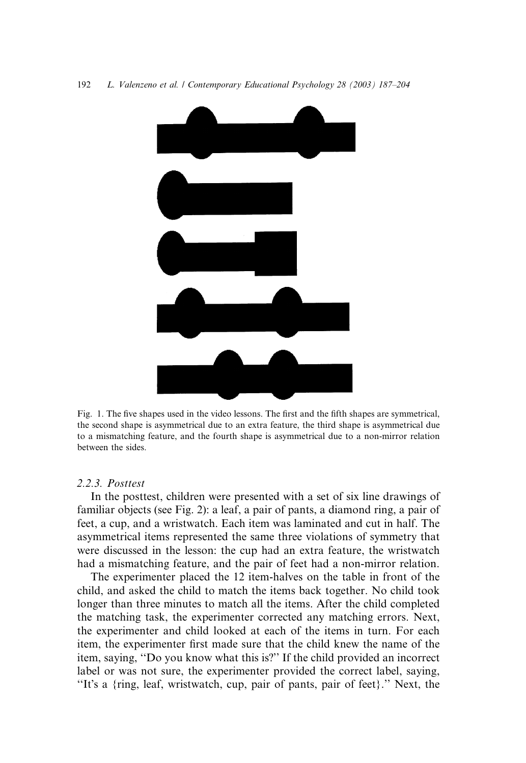

Fig. 1. The five shapes used in the video lessons. The first and the fifth shapes are symmetrical, the second shape is asymmetrical due to an extra feature, the third shape is asymmetrical due to a mismatching feature, and the fourth shape is asymmetrical due to a non-mirror relation between the sides.

## 2.2.3. Posttest

In the posttest, children were presented with a set of six line drawings of familiar objects (see Fig. 2): a leaf, a pair of pants, a diamond ring, a pair of feet, a cup, and a wristwatch. Each item was laminated and cut in half. The asymmetrical items represented the same three violations of symmetry that were discussed in the lesson: the cup had an extra feature, the wristwatch had a mismatching feature, and the pair of feet had a non-mirror relation.

The experimenter placed the 12 item-halves on the table in front of the child, and asked the child to match the items back together. No child took longer than three minutes to match all the items. After the child completed the matching task, the experimenter corrected any matching errors. Next, the experimenter and child looked at each of the items in turn. For each item, the experimenter first made sure that the child knew the name of the item, saying, ''Do you know what this is?'' If the child provided an incorrect label or was not sure, the experimenter provided the correct label, saying, "It's a {ring, leaf, wristwatch, cup, pair of pants, pair of feet}." Next, the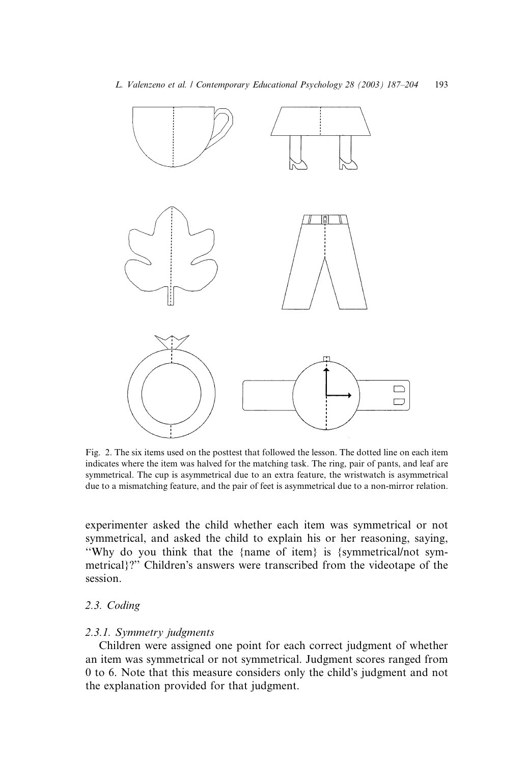

Fig. 2. The six items used on the posttest that followed the lesson. The dotted line on each item indicates where the item was halved for the matching task. The ring, pair of pants, and leaf are symmetrical. The cup is asymmetrical due to an extra feature, the wristwatch is asymmetrical due to a mismatching feature, and the pair of feet is asymmetrical due to a non-mirror relation.

experimenter asked the child whether each item was symmetrical or not symmetrical, and asked the child to explain his or her reasoning, saying, "Why do you think that the {name of item} is {symmetrical/not symmetrical}?" Children's answers were transcribed from the videotape of the session.

# 2.3. Coding

# 2.3.1. Symmetry judgments

Children were assigned one point for each correct judgment of whether an item was symmetrical or not symmetrical. Judgment scores ranged from 0 to 6. Note that this measure considers only the child's judgment and not the explanation provided for that judgment.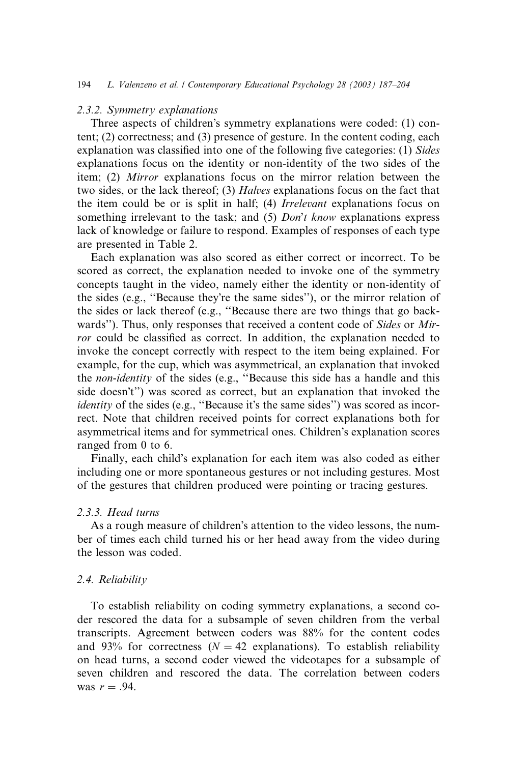## 2.3.2. Symmetry explanations

Three aspects of children's symmetry explanations were coded: (1) content; (2) correctness; and (3) presence of gesture. In the content coding, each explanation was classified into one of the following five categories: (1) Sides explanations focus on the identity or non-identity of the two sides of the item; (2) Mirror explanations focus on the mirror relation between the two sides, or the lack thereof; (3) Halves explanations focus on the fact that the item could be or is split in half; (4) Irrelevant explanations focus on something irrelevant to the task; and  $(5)$  *Don't know* explanations express lack of knowledge or failure to respond. Examples of responses of each type are presented in Table 2.

Each explanation was also scored as either correct or incorrect. To be scored as correct, the explanation needed to invoke one of the symmetry concepts taught in the video, namely either the identity or non-identity of the sides (e.g., ''Because theyre the same sides''), or the mirror relation of the sides or lack thereof (e.g., "Because there are two things that go backwards"). Thus, only responses that received a content code of *Sides* or *Mir*ror could be classified as correct. In addition, the explanation needed to invoke the concept correctly with respect to the item being explained. For example, for the cup, which was asymmetrical, an explanation that invoked the non-identity of the sides (e.g., ''Because this side has a handle and this side doesn't") was scored as correct, but an explanation that invoked the *identity* of the sides (e.g., "Because it's the same sides") was scored as incorrect. Note that children received points for correct explanations both for asymmetrical items and for symmetrical ones. Children's explanation scores ranged from 0 to 6.

Finally, each child's explanation for each item was also coded as either including one or more spontaneous gestures or not including gestures. Most of the gestures that children produced were pointing or tracing gestures.

## 2.3.3. Head turns

As a rough measure of children's attention to the video lessons, the number of times each child turned his or her head away from the video during the lesson was coded.

#### 2.4. Reliability

To establish reliability on coding symmetry explanations, a second coder rescored the data for a subsample of seven children from the verbal transcripts. Agreement between coders was 88% for the content codes and 93% for correctness ( $N = 42$  explanations). To establish reliability on head turns, a second coder viewed the videotapes for a subsample of seven children and rescored the data. The correlation between coders was  $r = .94$ .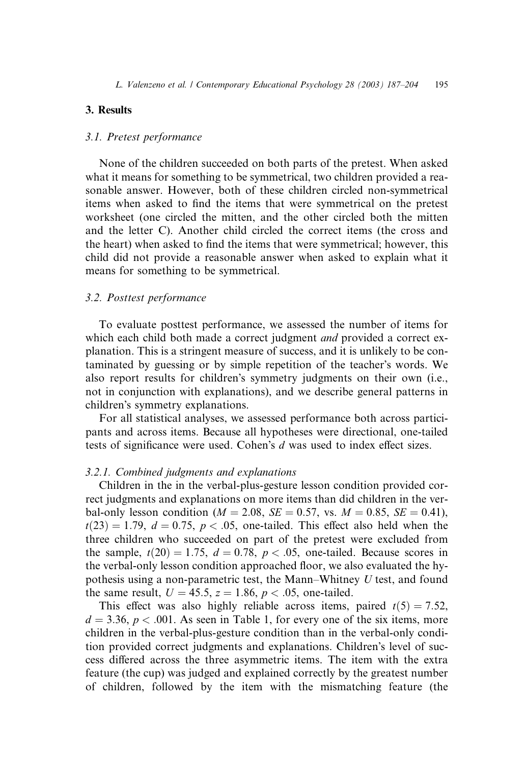## 3. Results

# 3.1. Pretest performance

None of the children succeeded on both parts of the pretest. When asked what it means for something to be symmetrical, two children provided a reasonable answer. However, both of these children circled non-symmetrical items when asked to find the items that were symmetrical on the pretest worksheet (one circled the mitten, and the other circled both the mitten and the letter C). Another child circled the correct items (the cross and the heart) when asked to find the items that were symmetrical; however, this child did not provide a reasonable answer when asked to explain what it means for something to be symmetrical.

## 3.2. Posttest performance

To evaluate posttest performance, we assessed the number of items for which each child both made a correct judgment *and* provided a correct explanation. This is a stringent measure of success, and it is unlikely to be contaminated by guessing or by simple repetition of the teacher's words. We also report results for children's symmetry judgments on their own (i.e., not in conjunction with explanations), and we describe general patterns in children's symmetry explanations.

For all statistical analyses, we assessed performance both across participants and across items. Because all hypotheses were directional, one-tailed tests of significance were used. Cohen's  $d$  was used to index effect sizes.

#### 3.2.1. Combined judgments and explanations

Children in the in the verbal-plus-gesture lesson condition provided correct judgments and explanations on more items than did children in the verbal-only lesson condition ( $M = 2.08$ ,  $SE = 0.57$ , vs.  $M = 0.85$ ,  $SE = 0.41$ ),  $t(23) = 1.79$ ,  $d = 0.75$ ,  $p < .05$ , one-tailed. This effect also held when the three children who succeeded on part of the pretest were excluded from the sample,  $t(20) = 1.75$ ,  $d = 0.78$ ,  $p < .05$ , one-tailed. Because scores in the verbal-only lesson condition approached floor, we also evaluated the hypothesis using a non-parametric test, the Mann–Whitney U test, and found the same result,  $U = 45.5$ ,  $z = 1.86$ ,  $p < .05$ , one-tailed.

This effect was also highly reliable across items, paired  $t(5) = 7.52$ ,  $d = 3.36, p < .001$ . As seen in Table 1, for every one of the six items, more children in the verbal-plus-gesture condition than in the verbal-only condition provided correct judgments and explanations. Children's level of success differed across the three asymmetric items. The item with the extra feature (the cup) was judged and explained correctly by the greatest number of children, followed by the item with the mismatching feature (the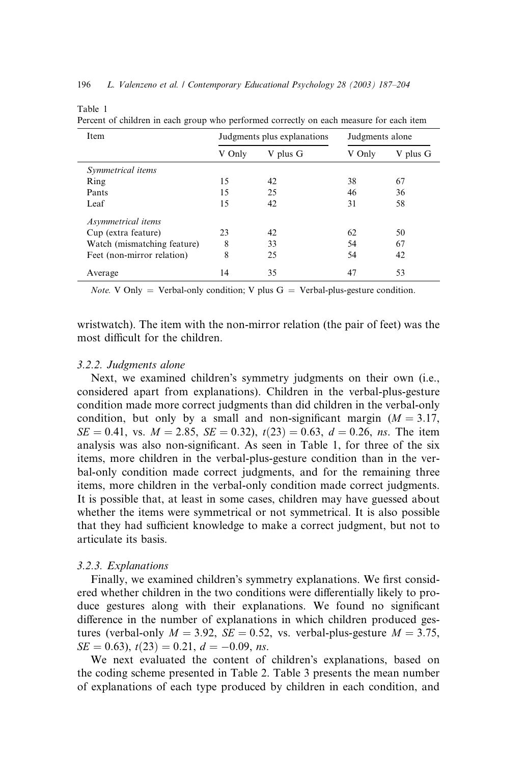| Item                        | Judgments plus explanations |          | Judgments alone |          |  |
|-----------------------------|-----------------------------|----------|-----------------|----------|--|
|                             | V Only                      | V plus G | V Only          | V plus G |  |
| Symmetrical items           |                             |          |                 |          |  |
| Ring                        | 15                          | 42       | 38              | 67       |  |
| Pants                       | 15                          | 25       | 46              | 36       |  |
| Leaf                        | 15                          | 42       | 31              | 58       |  |
| Asymmetrical items          |                             |          |                 |          |  |
| Cup (extra feature)         | 23                          | 42       | 62              | 50       |  |
| Watch (mismatching feature) | 8                           | 33       | 54              | 67       |  |
| Feet (non-mirror relation)  | 8                           | 25       | 54              | 42       |  |
| Average                     | 14                          | 35       | 47              | 53       |  |

Percent of children in each group who performed correctly on each measure for each item

*Note.* V Only = Verbal-only condition; V plus  $G =$  Verbal-plus-gesture condition.

wristwatch). The item with the non-mirror relation (the pair of feet) was the most difficult for the children.

## 3.2.2. Judgments alone

Table 1

Next, we examined children's symmetry judgments on their own (i.e., considered apart from explanations). Children in the verbal-plus-gesture condition made more correct judgments than did children in the verbal-only condition, but only by a small and non-significant margin ( $M = 3.17$ ,  $SE = 0.41$ , vs.  $M = 2.85$ ,  $SE = 0.32$ ),  $t(23) = 0.63$ ,  $d = 0.26$ , ns. The item analysis was also non-significant. As seen in Table 1, for three of the six items, more children in the verbal-plus-gesture condition than in the verbal-only condition made correct judgments, and for the remaining three items, more children in the verbal-only condition made correct judgments. It is possible that, at least in some cases, children may have guessed about whether the items were symmetrical or not symmetrical. It is also possible that they had sufficient knowledge to make a correct judgment, but not to articulate its basis.

## 3.2.3. Explanations

Finally, we examined children's symmetry explanations. We first considered whether children in the two conditions were differentially likely to produce gestures along with their explanations. We found no significant difference in the number of explanations in which children produced gestures (verbal-only  $M = 3.92$ ,  $SE = 0.52$ , vs. verbal-plus-gesture  $M = 3.75$ ,  $SE = 0.63$ ,  $t(23) = 0.21$ ,  $d = -0.09$ , ns.

We next evaluated the content of children's explanations, based on the coding scheme presented in Table 2. Table 3 presents the mean number of explanations of each type produced by children in each condition, and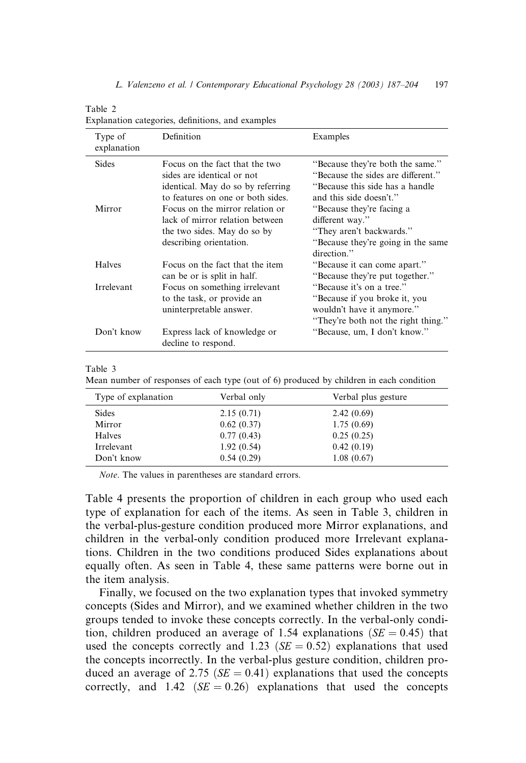| Type of<br>explanation | Definition                                                                                                                             | Examples                                                                                                                             |
|------------------------|----------------------------------------------------------------------------------------------------------------------------------------|--------------------------------------------------------------------------------------------------------------------------------------|
| <b>Sides</b>           | Focus on the fact that the two<br>sides are identical or not<br>identical. May do so by referring<br>to features on one or both sides. | "Because they're both the same."<br>"Because the sides are different."<br>"Because this side has a handle<br>and this side doesn't." |
| Mirror                 | Focus on the mirror relation or<br>lack of mirror relation between<br>the two sides. May do so by<br>describing orientation.           | "Because they're facing a<br>different way."<br>"They aren't backwards."<br>"Because they're going in the same"<br>direction."       |
| Halves                 | Focus on the fact that the item<br>can be or is split in half.                                                                         | "Because it can come apart."<br>"Because they're put together."                                                                      |
| <b>Irrelevant</b>      | Focus on something irrelevant<br>to the task, or provide an<br>uninterpretable answer.                                                 | "Because it's on a tree."<br>"Because if you broke it, you<br>wouldn't have it anymore."<br>"They're both not the right thing."      |
| Don't know             | Express lack of knowledge or<br>decline to respond.                                                                                    | "Because, um, I don't know."                                                                                                         |

Table 2 Explanation categories, definitions, and examples

Table 3

Mean number of responses of each type (out of 6) produced by children in each condition

| Type of explanation | Verbal only | Verbal plus gesture |
|---------------------|-------------|---------------------|
| Sides               | 2.15(0.71)  | 2.42(0.69)          |
| Mirror              | 0.62(0.37)  | 1.75(0.69)          |
| Halves              | 0.77(0.43)  | 0.25(0.25)          |
| Irrelevant          | 1.92(0.54)  | 0.42(0.19)          |
| Don't know          | 0.54(0.29)  | 1.08(0.67)          |

Note. The values in parentheses are standard errors.

Table 4 presents the proportion of children in each group who used each type of explanation for each of the items. As seen in Table 3, children in the verbal-plus-gesture condition produced more Mirror explanations, and children in the verbal-only condition produced more Irrelevant explanations. Children in the two conditions produced Sides explanations about equally often. As seen in Table 4, these same patterns were borne out in the item analysis.

Finally, we focused on the two explanation types that invoked symmetry concepts (Sides and Mirror), and we examined whether children in the two groups tended to invoke these concepts correctly. In the verbal-only condition, children produced an average of 1.54 explanations ( $SE = 0.45$ ) that used the concepts correctly and 1.23 ( $SE = 0.52$ ) explanations that used the concepts incorrectly. In the verbal-plus gesture condition, children produced an average of 2.75 ( $SE = 0.41$ ) explanations that used the concepts correctly, and 1.42 ( $SE = 0.26$ ) explanations that used the concepts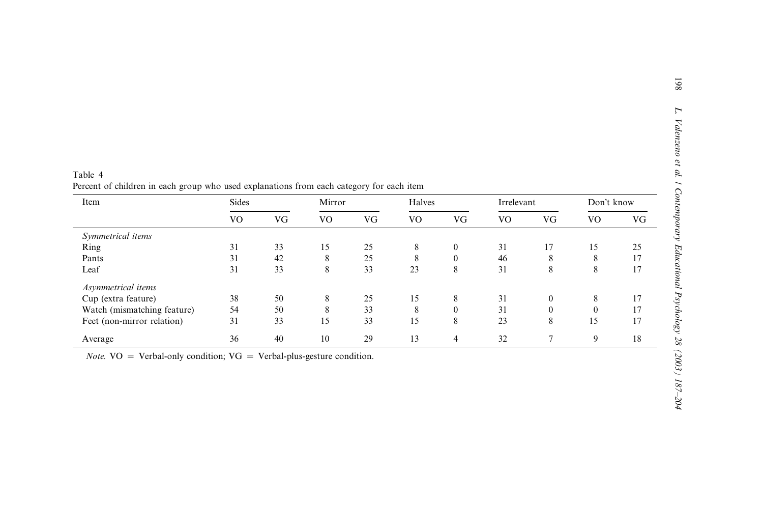| now            |  |
|----------------|--|
| VG             |  |
| 25<br>17<br>17 |  |
| 17<br>17<br>17 |  |
| 18             |  |
|                |  |

Table 4Percent of children in each group who used explanations from each category for each item

| Item                        | <b>Sides</b> |    | Mirror |    | Halves         |          | Irrelevant |          | Don't know |    |
|-----------------------------|--------------|----|--------|----|----------------|----------|------------|----------|------------|----|
|                             | VO           | VG | VO     | VG | V <sub>O</sub> | VG       | VO         | VG       | VO         | VG |
| Symmetrical items           |              |    |        |    |                |          |            |          |            |    |
| Ring                        | 31           | 33 | 15     | 25 | 8              | $\theta$ | 31         | 17       | 15         | 25 |
| Pants                       | 31           | 42 | 8      | 25 | 8              | $\theta$ | 46         | 8        | 8          | 17 |
| Leaf                        | 31           | 33 | 8      | 33 | 23             | 8        | 31         | 8        | 8          | 17 |
| Asymmetrical items          |              |    |        |    |                |          |            |          |            |    |
| Cup (extra feature)         | 38           | 50 | 8      | 25 | 15             | 8        | 31         | $\theta$ | 8          | 17 |
| Watch (mismatching feature) | 54           | 50 | 8      | 33 | 8              | $\theta$ | 31         | $\theta$ | $\theta$   | 17 |
| Feet (non-mirror relation)  | 31           | 33 | 15     | 33 | 15             | 8        | 23         | 8        | 15         | 17 |
| Average                     | 36           | 40 | 10     | 29 | 13             | 4        | 32         |          | 9          | 18 |

*Note.* VO = Verbal-only condition; VG = Verbal-plus-gesture condition.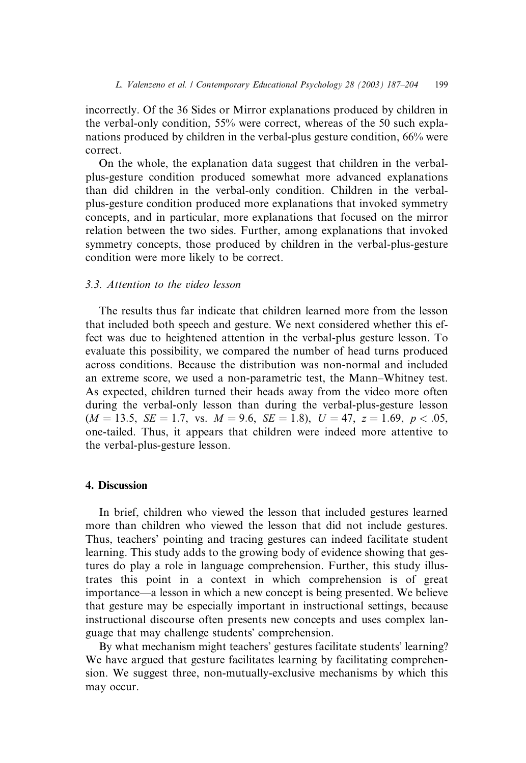incorrectly. Of the 36 Sides or Mirror explanations produced by children in the verbal-only condition, 55% were correct, whereas of the 50 such explanations produced by children in the verbal-plus gesture condition, 66% were correct.

On the whole, the explanation data suggest that children in the verbalplus-gesture condition produced somewhat more advanced explanations than did children in the verbal-only condition. Children in the verbalplus-gesture condition produced more explanations that invoked symmetry concepts, and in particular, more explanations that focused on the mirror relation between the two sides. Further, among explanations that invoked symmetry concepts, those produced by children in the verbal-plus-gesture condition were more likely to be correct.

# 3.3. Attention to the video lesson

The results thus far indicate that children learned more from the lesson that included both speech and gesture. We next considered whether this effect was due to heightened attention in the verbal-plus gesture lesson. To evaluate this possibility, we compared the number of head turns produced across conditions. Because the distribution was non-normal and included an extreme score, we used a non-parametric test, the Mann–Whitney test. As expected, children turned their heads away from the video more often during the verbal-only lesson than during the verbal-plus-gesture lesson  $(M = 13.5, SE = 1.7, vs. M = 9.6, SE = 1.8), U = 47, z = 1.69, p < .05,$ one-tailed. Thus, it appears that children were indeed more attentive to the verbal-plus-gesture lesson.

## 4. Discussion

In brief, children who viewed the lesson that included gestures learned more than children who viewed the lesson that did not include gestures. Thus, teachers' pointing and tracing gestures can indeed facilitate student learning. This study adds to the growing body of evidence showing that gestures do play a role in language comprehension. Further, this study illustrates this point in a context in which comprehension is of great importance—a lesson in which a new concept is being presented. We believe that gesture may be especially important in instructional settings, because instructional discourse often presents new concepts and uses complex language that may challenge students' comprehension.

By what mechanism might teachers' gestures facilitate students' learning? We have argued that gesture facilitates learning by facilitating comprehension. We suggest three, non-mutually-exclusive mechanisms by which this may occur.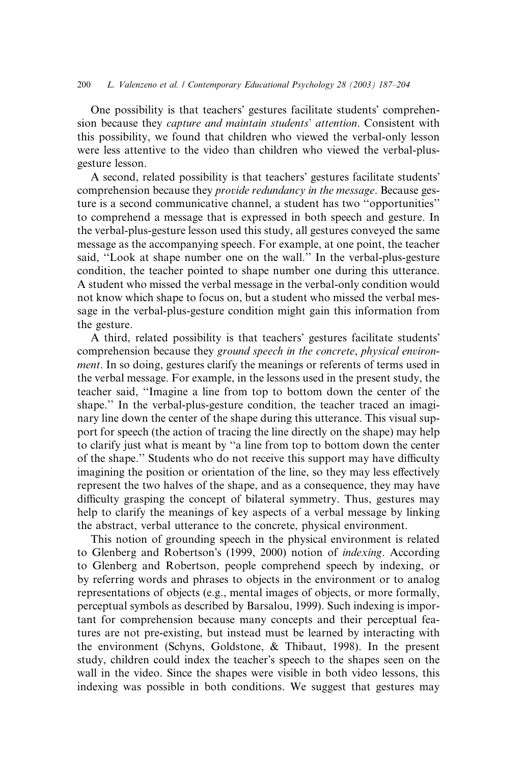One possibility is that teachers' gestures facilitate students' comprehension because they *capture and maintain students' attention*. Consistent with this possibility, we found that children who viewed the verbal-only lesson were less attentive to the video than children who viewed the verbal-plusgesture lesson.

A second, related possibility is that teachers' gestures facilitate students' comprehension because they *provide redundancy in the message*. Because gesture is a second communicative channel, a student has two ''opportunities'' to comprehend a message that is expressed in both speech and gesture. In the verbal-plus-gesture lesson used this study, all gestures conveyed the same message as the accompanying speech. For example, at one point, the teacher said, "Look at shape number one on the wall." In the verbal-plus-gesture condition, the teacher pointed to shape number one during this utterance. A student who missed the verbal message in the verbal-only condition would not know which shape to focus on, but a student who missed the verbal message in the verbal-plus-gesture condition might gain this information from the gesture.

A third, related possibility is that teachers' gestures facilitate students' comprehension because they ground speech in the concrete, physical environment. In so doing, gestures clarify the meanings or referents of terms used in the verbal message. For example, in the lessons used in the present study, the teacher said, ''Imagine a line from top to bottom down the center of the shape.'' In the verbal-plus-gesture condition, the teacher traced an imaginary line down the center of the shape during this utterance. This visual support for speech (the action of tracing the line directly on the shape) may help to clarify just what is meant by ''a line from top to bottom down the center of the shape.'' Students who do not receive this support may have difficulty imagining the position or orientation of the line, so they may less effectively represent the two halves of the shape, and as a consequence, they may have difficulty grasping the concept of bilateral symmetry. Thus, gestures may help to clarify the meanings of key aspects of a verbal message by linking the abstract, verbal utterance to the concrete, physical environment.

This notion of grounding speech in the physical environment is related to Glenberg and Robertson's (1999, 2000) notion of *indexing*. According to Glenberg and Robertson, people comprehend speech by indexing, or by referring words and phrases to objects in the environment or to analog representations of objects (e.g., mental images of objects, or more formally, perceptual symbols as described by Barsalou, 1999). Such indexing is important for comprehension because many concepts and their perceptual features are not pre-existing, but instead must be learned by interacting with the environment (Schyns, Goldstone, & Thibaut, 1998). In the present study, children could index the teacher's speech to the shapes seen on the wall in the video. Since the shapes were visible in both video lessons, this indexing was possible in both conditions. We suggest that gestures may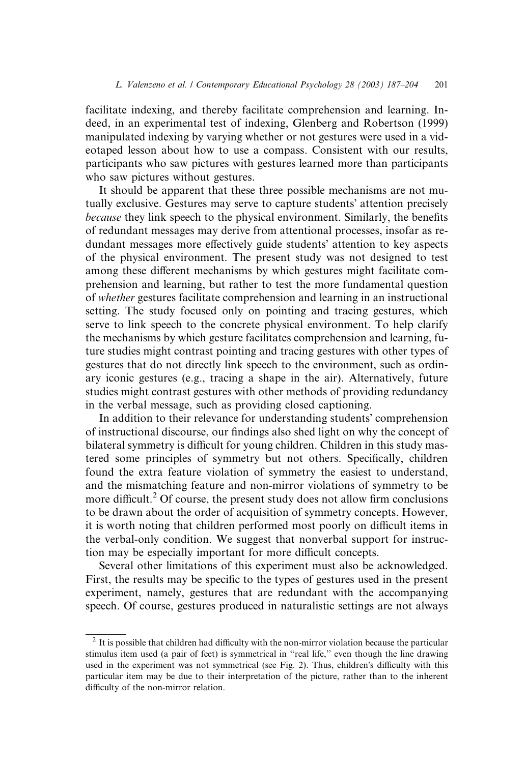facilitate indexing, and thereby facilitate comprehension and learning. Indeed, in an experimental test of indexing, Glenberg and Robertson (1999) manipulated indexing by varying whether or not gestures were used in a videotaped lesson about how to use a compass. Consistent with our results, participants who saw pictures with gestures learned more than participants who saw pictures without gestures.

It should be apparent that these three possible mechanisms are not mutually exclusive. Gestures may serve to capture students' attention precisely because they link speech to the physical environment. Similarly, the benefits of redundant messages may derive from attentional processes, insofar as redundant messages more effectively guide students' attention to key aspects of the physical environment. The present study was not designed to test among these different mechanisms by which gestures might facilitate comprehension and learning, but rather to test the more fundamental question of whether gestures facilitate comprehension and learning in an instructional setting. The study focused only on pointing and tracing gestures, which serve to link speech to the concrete physical environment. To help clarify the mechanisms by which gesture facilitates comprehension and learning, future studies might contrast pointing and tracing gestures with other types of gestures that do not directly link speech to the environment, such as ordinary iconic gestures (e.g., tracing a shape in the air). Alternatively, future studies might contrast gestures with other methods of providing redundancy in the verbal message, such as providing closed captioning.

In addition to their relevance for understanding students' comprehension of instructional discourse, our findings also shed light on why the concept of bilateral symmetry is difficult for young children. Children in this study mastered some principles of symmetry but not others. Specifically, children found the extra feature violation of symmetry the easiest to understand, and the mismatching feature and non-mirror violations of symmetry to be more difficult.<sup>2</sup> Of course, the present study does not allow firm conclusions to be drawn about the order of acquisition of symmetry concepts. However, it is worth noting that children performed most poorly on difficult items in the verbal-only condition. We suggest that nonverbal support for instruction may be especially important for more difficult concepts.

Several other limitations of this experiment must also be acknowledged. First, the results may be specific to the types of gestures used in the present experiment, namely, gestures that are redundant with the accompanying speech. Of course, gestures produced in naturalistic settings are not always

 $2$  It is possible that children had difficulty with the non-mirror violation because the particular stimulus item used (a pair of feet) is symmetrical in ''real life,'' even though the line drawing used in the experiment was not symmetrical (see Fig. 2). Thus, children's difficulty with this particular item may be due to their interpretation of the picture, rather than to the inherent difficulty of the non-mirror relation.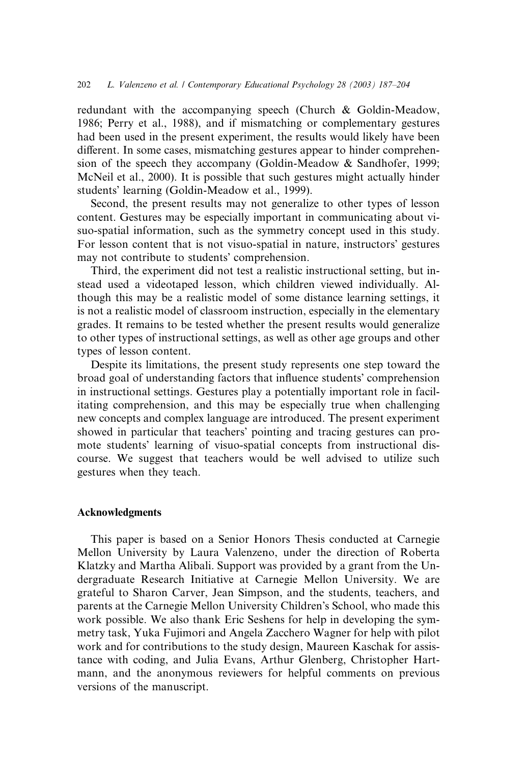redundant with the accompanying speech (Church & Goldin-Meadow, 1986; Perry et al., 1988), and if mismatching or complementary gestures had been used in the present experiment, the results would likely have been different. In some cases, mismatching gestures appear to hinder comprehension of the speech they accompany (Goldin-Meadow & Sandhofer, 1999; McNeil et al., 2000). It is possible that such gestures might actually hinder students' learning (Goldin-Meadow et al., 1999).

Second, the present results may not generalize to other types of lesson content. Gestures may be especially important in communicating about visuo-spatial information, such as the symmetry concept used in this study. For lesson content that is not visuo-spatial in nature, instructors' gestures may not contribute to students' comprehension.

Third, the experiment did not test a realistic instructional setting, but instead used a videotaped lesson, which children viewed individually. Although this may be a realistic model of some distance learning settings, it is not a realistic model of classroom instruction, especially in the elementary grades. It remains to be tested whether the present results would generalize to other types of instructional settings, as well as other age groups and other types of lesson content.

Despite its limitations, the present study represents one step toward the broad goal of understanding factors that influence students' comprehension in instructional settings. Gestures play a potentially important role in facilitating comprehension, and this may be especially true when challenging new concepts and complex language are introduced. The present experiment showed in particular that teachers' pointing and tracing gestures can promote students' learning of visuo-spatial concepts from instructional discourse. We suggest that teachers would be well advised to utilize such gestures when they teach.

# Acknowledgments

This paper is based on a Senior Honors Thesis conducted at Carnegie Mellon University by Laura Valenzeno, under the direction of Roberta Klatzky and Martha Alibali. Support was provided by a grant from the Undergraduate Research Initiative at Carnegie Mellon University. We are grateful to Sharon Carver, Jean Simpson, and the students, teachers, and parents at the Carnegie Mellon University Children's School, who made this work possible. We also thank Eric Seshens for help in developing the symmetry task, Yuka Fujimori and Angela Zacchero Wagner for help with pilot work and for contributions to the study design, Maureen Kaschak for assistance with coding, and Julia Evans, Arthur Glenberg, Christopher Hartmann, and the anonymous reviewers for helpful comments on previous versions of the manuscript.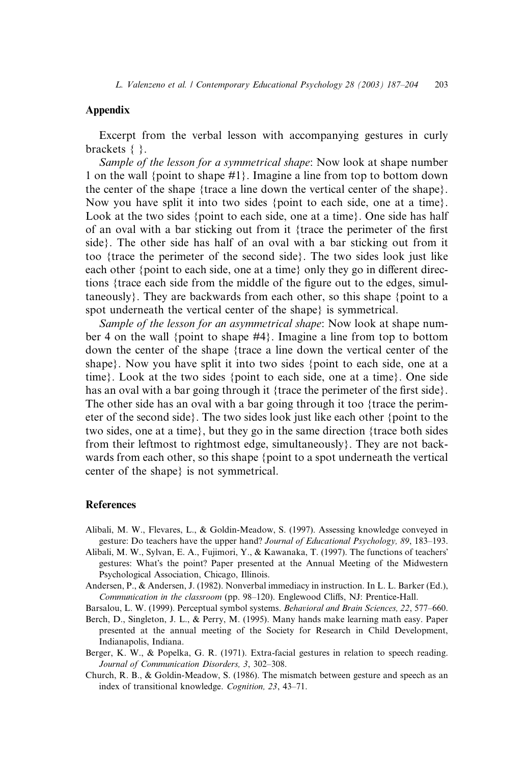#### Appendix

Excerpt from the verbal lesson with accompanying gestures in curly brackets { }.

Sample of the lesson for a symmetrical shape: Now look at shape number 1 on the wall {point to shape #1}. Imagine a line from top to bottom down the center of the shape {trace a line down the vertical center of the shape}. Now you have split it into two sides {point to each side, one at a time}. Look at the two sides {point to each side, one at a time}. One side has half of an oval with a bar sticking out from it {trace the perimeter of the first side}. The other side has half of an oval with a bar sticking out from it too {trace the perimeter of the second side}. The two sides look just like each other {point to each side, one at a time} only they go in different directions {trace each side from the middle of the figure out to the edges, simultaneously}. They are backwards from each other, so this shape {point to a spot underneath the vertical center of the shape} is symmetrical.

Sample of the lesson for an asymmetrical shape: Now look at shape number 4 on the wall {point to shape #4}. Imagine a line from top to bottom down the center of the shape {trace a line down the vertical center of the shape}. Now you have split it into two sides {point to each side, one at a time}. Look at the two sides {point to each side, one at a time}. One side has an oval with a bar going through it {trace the perimeter of the first side}. The other side has an oval with a bar going through it too {trace the perimeter of the second side}. The two sides look just like each other {point to the two sides, one at a time}, but they go in the same direction {trace both sides from their leftmost to rightmost edge, simultaneously $\}$ . They are not backwards from each other, so this shape {point to a spot underneath the vertical center of the shape} is not symmetrical.

## References

- Alibali, M. W., Flevares, L., & Goldin-Meadow, S. (1997). Assessing knowledge conveyed in gesture: Do teachers have the upper hand? Journal of Educational Psychology, 89, 183–193.
- Alibali, M. W., Sylvan, E. A., Fujimori, Y., & Kawanaka, T. (1997). The functions of teachers gestures: What's the point? Paper presented at the Annual Meeting of the Midwestern Psychological Association, Chicago, Illinois.
- Andersen, P., & Andersen, J. (1982). Nonverbal immediacy in instruction. In L. L. Barker (Ed.), Communication in the classroom (pp. 98–120). Englewood Cliffs, NJ: Prentice-Hall.
- Barsalou, L. W. (1999). Perceptual symbol systems. Behavioral and Brain Sciences, 22, 577–660.
- Berch, D., Singleton, J. L., & Perry, M. (1995). Many hands make learning math easy. Paper presented at the annual meeting of the Society for Research in Child Development, Indianapolis, Indiana.
- Berger, K. W., & Popelka, G. R. (1971). Extra-facial gestures in relation to speech reading. Journal of Communication Disorders, 3, 302–308.
- Church, R. B., & Goldin-Meadow, S. (1986). The mismatch between gesture and speech as an index of transitional knowledge. Cognition, 23, 43–71.